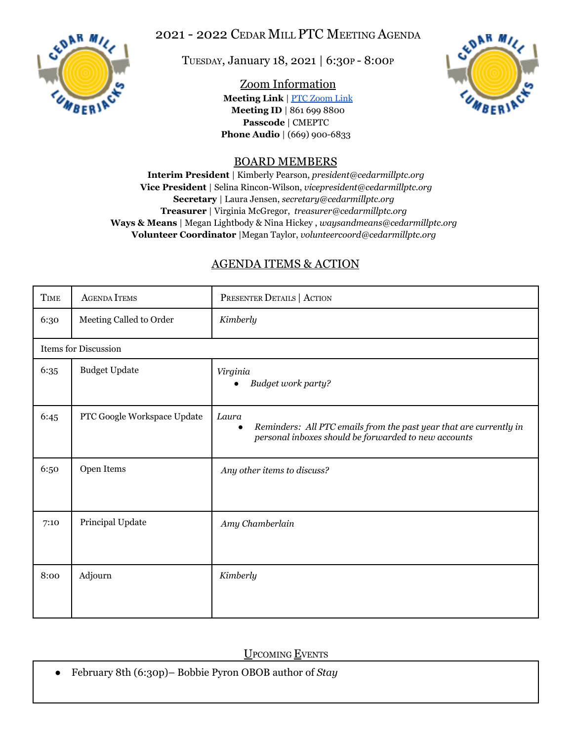

# 2021 - 2022 CEDAR MILL PTC MEETING AGENDA

TUESDAY, January 18, 2021 | 6:30<sup>P</sup> - 8:00<sup>P</sup>

### Zoom Information

**Meeting Link** | PTC [Zoom](https://us06web.zoom.us/j/8616998800?pwd=Mzg5MG02d3lobmJwemU2N0Jwd1RnUT09) Link **Meeting ID** | 861 699 8800 **Passcode** | CMEPTC **Phone Audio** | (669) 900-6833



## BOARD MEMBERS

**Interim President** | Kimberly Pearson, *president@cedarmillptc.org* **Vice President** | Selina Rincon-Wilson, *vicepresident@cedarmillptc.org* **Secretary** | Laura Jensen, *secretary@cedarmillptc.org* **Treasurer** | Virginia McGregor, *treasurer@cedarmillptc.org* **Ways & Means** | Megan Lightbody & Nina Hickey , *waysandmeans@cedarmillptc.org* **Volunteer Coordinator** |Megan Taylor, *[volunteercoord@cedarmillptc.org](mailto:volunteercoord@cedarmillptc.org)*

# AGENDA ITEMS & ACTION

| <b>TIME</b>                 | <b>AGENDA ITEMS</b>         | PRESENTER DETAILS   ACTION                                                                                                                       |
|-----------------------------|-----------------------------|--------------------------------------------------------------------------------------------------------------------------------------------------|
| 6:30                        | Meeting Called to Order     | Kimberly                                                                                                                                         |
| <b>Items for Discussion</b> |                             |                                                                                                                                                  |
| 6:35                        | <b>Budget Update</b>        | Virginia<br>Budget work party?                                                                                                                   |
| 6:45                        | PTC Google Workspace Update | Laura<br>Reminders: All PTC emails from the past year that are currently in<br>$\bullet$<br>personal inboxes should be forwarded to new accounts |
| 6:50                        | Open Items                  | Any other items to discuss?                                                                                                                      |
| 7:10                        | Principal Update            | Amy Chamberlain                                                                                                                                  |
| 8:00                        | Adjourn                     | Kimberly                                                                                                                                         |

UPCOMING EVENTS

● February 8th (6:30p)– Bobbie Pyron OBOB author of *Stay*